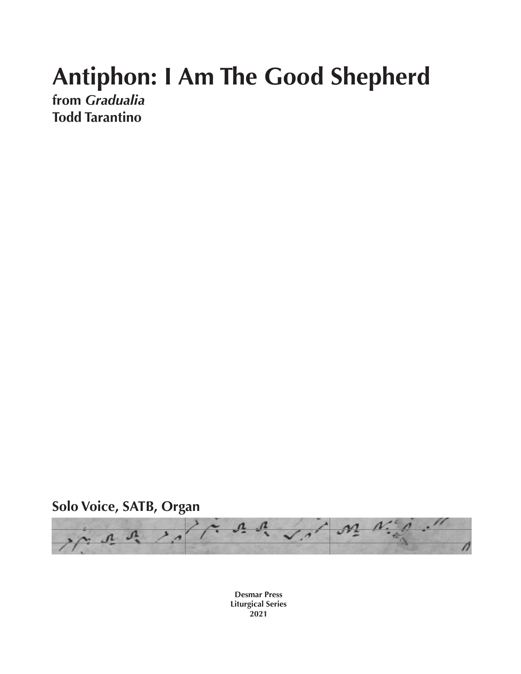## **Antiphon: I Am The Good Shepherd**

**from** *Gradualia* **Todd Tarantino**

**Solo Voice, SATB, Organ**



**Desmar Press Liturgical Series 2021**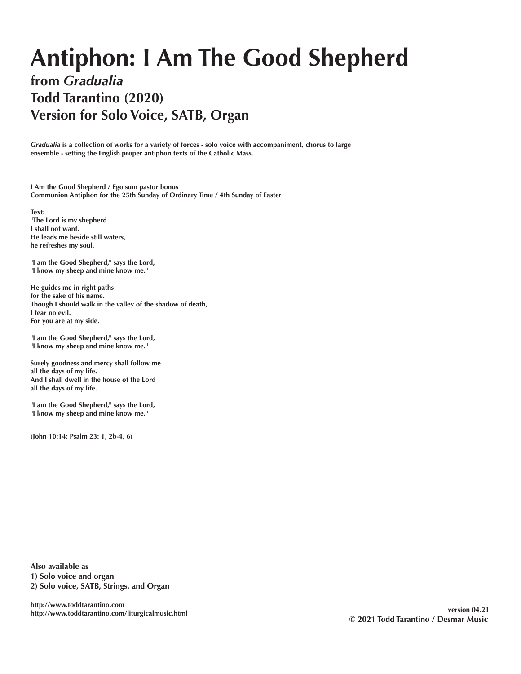## **Antiphon: I Am The Good Shepherd**

## **from** *Gradualia* **Todd Tarantino (2020) Version for Solo Voice, SATB, Organ**

*Gradualia* **is a collection of works for a variety of forces - solo voice with accompaniment, chorus to large ensemble - setting the English proper antiphon texts of the Catholic Mass.** 

**I Am the Good Shepherd / Ego sum pastor bonus Communion Antiphon for the 25th Sunday of Ordinary Time / 4th Sunday of Easter**

**Text: "The Lord is my shepherd I shall not want. He leads me beside still waters, he refreshes my soul.**

**"I am the Good Shepherd," says the Lord, "I know my sheep and mine know me."**

**He guides me in right paths for the sake of his name. Though I should walk in the valley of the shadow of death, I fear no evil. For you are at my side.**

**"I am the Good Shepherd," says the Lord, "I know my sheep and mine know me."**

**Surely goodness and mercy shall follow me all the days of my life. And I shall dwell in the house of the Lord all the days of my life.**

**"I am the Good Shepherd," says the Lord, "I know my sheep and mine know me."**

**(John 10:14; Psalm 23: 1, 2b-4, 6)**

**Also available as 1) Solo voice and organ 2) Solo voice, SATB, Strings, and Organ**

**http://www.toddtarantino.com http://www.toddtarantino.com/liturgicalmusic.html version 04.21**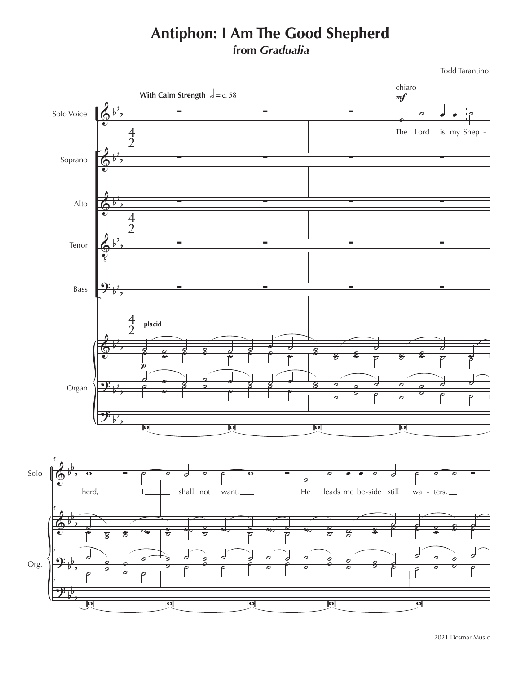## **Antiphon: I Am The Good Shepherd from** *Gradualia*

Todd Tarantino

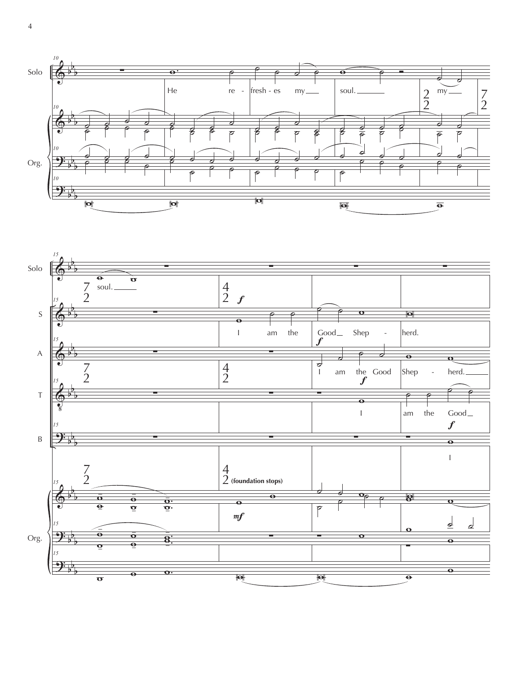